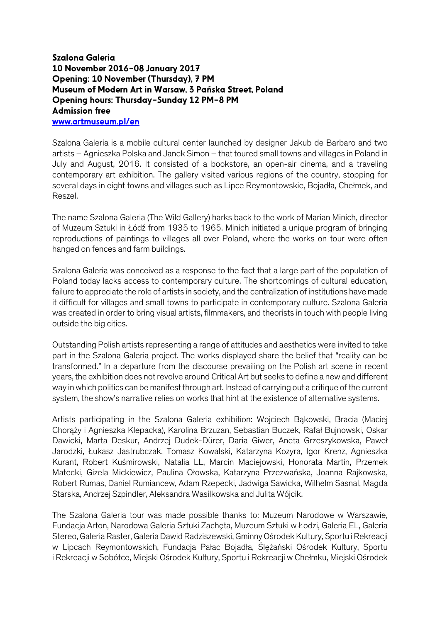## Szalona Galeria 10 November 2016–08 January 2017 Opening: 10 November (Thursday), 7 PM Museum of Modern Art in Warsaw, 3 Pańska Street, Poland Opening hours: Thursday–Sunday 12 PM–8 PM Admission free www.artmuseum.pl/en

Szalona Galeria is a mobile cultural center launched by designer Jakub de Barbaro and two artists – Agnieszka Polska and Janek Simon – that toured small towns and villages in Poland in July and August, 2016. It consisted of a bookstore, an open-air cinema, and a traveling contemporary art exhibition. The gallery visited various regions of the country, stopping for several days in eight towns and villages such as Lipce Reymontowskie, Bojadła, Chełmek, and Reszel.

The name Szalona Galeria (The Wild Gallery) harks back to the work of Marian Minich, director of Muzeum Sztuki in Łódź from 1935 to 1965. Minich initiated a unique program of bringing reproductions of paintings to villages all over Poland, where the works on tour were often hanged on fences and farm buildings.

Szalona Galeria was conceived as a response to the fact that a large part of the population of Poland today lacks access to contemporary culture. The shortcomings of cultural education, failure to appreciate the role of artists in society, and the centralization of institutions have made it difficult for villages and small towns to participate in contemporary culture. Szalona Galeria was created in order to bring visual artists, filmmakers, and theorists in touch with people living outside the big cities.

Outstanding Polish artists representing a range of attitudes and aesthetics were invited to take part in the Szalona Galeria project. The works displayed share the belief that "reality can be transformed." In a departure from the discourse prevailing on the Polish art scene in recent years, the exhibition does not revolve around Critical Art but seeks to define a new and different way in which politics can be manifest through art. Instead of carrying out a critique of the current system, the show's narrative relies on works that hint at the existence of alternative systems.

Artists participating in the Szalona Galeria exhibition: Wojciech Bąkowski, Bracia (Maciej Chorąży i Agnieszka Klepacka), Karolina Brzuzan, Sebastian Buczek, Rafał Bujnowski, Oskar Dawicki, Marta Deskur, Andrzej Dudek-Dürer, Daria Giwer, Aneta Grzeszykowska, Paweł Jarodzki, Łukasz Jastrubczak, Tomasz Kowalski, Katarzyna Kozyra, Igor Krenz, Agnieszka Kurant, Robert Kuśmirowski, Natalia LL, Marcin Maciejowski, Honorata Martin, Przemek Matecki, Gizela Mickiewicz, Paulina Ołowska, Katarzyna Przezwańska, Joanna Rajkowska, Robert Rumas, Daniel Rumiancew, Adam Rzepecki, Jadwiga Sawicka, Wilhelm Sasnal, Magda Starska, Andrzej Szpindler, Aleksandra Wasilkowska and Julita Wójcik.

The Szalona Galeria tour was made possible thanks to: Muzeum Narodowe w Warszawie, Fundacja Arton, Narodowa Galeria Sztuki Zachęta, Muzeum Sztuki w Łodzi, Galeria EL, Galeria Stereo, Galeria Raster, Galeria Dawid Radziszewski, Gminny Ośrodek Kultury, Sportu i Rekreacji w Lipcach Reymontowskich, Fundacja Pałac Bojadła, Ślężański Ośrodek Kultury, Sportu i Rekreacji w Sobótce, Miejski Ośrodek Kultury, Sportu i Rekreacji w Chełmku, Miejski Ośrodek